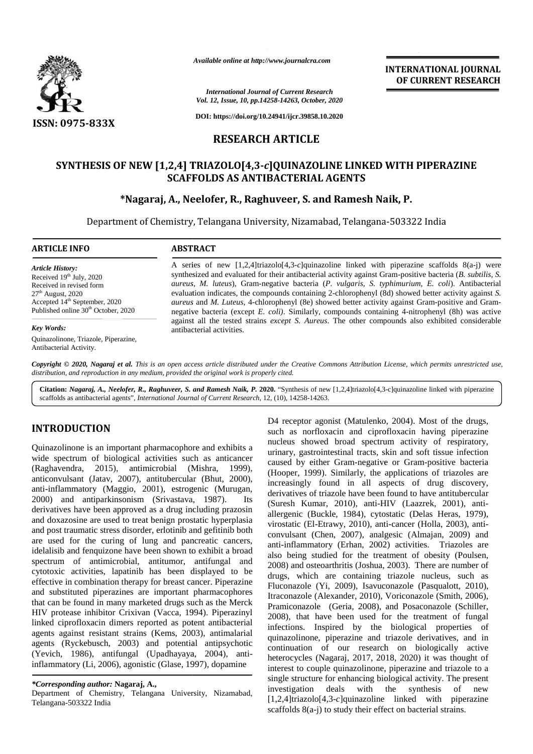

*Available online at http://www.journalcra.com*

*International Journal of Current Research Vol. 12, Issue, 10, pp.14258-14263, October, 2020*

**DOI: https://doi.org/10.24941/ijcr.39858.10.2020**

## **RESEARCH ARTICLE**

# **SYNTHESIS OF NEW [1,2,4] TRIAZOLO[4,3-***c***]QUINAZOLINE LINKED WITH PIPERAZINE SCAFFOLDS AS ANTIBACTERIAL AGENTS** F NEW [1,2,4] TRIAZOLO[4,3-c]QUINAZOLINE LINKED WITH PIF<br>SCAFFOLDS AS ANTIBACTERIAL AGENTS<br>\*Nagaraj, A., Neelofer, R., Raghuveer, S. and Ramesh Naik, P.

Department of Chemistry, Telangana University, Nizamabad, Telangana-503322 India Chemistry, Telangana

# **ARTICLE INFO ABSTRACT ARTICLE ABSTRACT**

*Article History:* Received  $19<sup>th</sup>$  July, 2020 Received in revised form<br>27<sup>th</sup> August, 2020  $27<sup>th</sup>$  August, 2020 Accepted 14<sup>th</sup> September, 2020 Published online  $30<sup>th</sup>$  October, 2020

#### *Key Words:*

Quinazolinone, Triazole, Piperazine, Antibacterial Activity.

A series of new [1,2,4]triazolo[4,3-*c*]quinazoline linked with piperazine scaffolds 8(a-j) were A series of new [1,2,4]triazolo[4,3-*c*]quinazoline linked with piperazine scaffolds 8(a-j) were synthesized and evaluated for their antibacterial activity against Gram-positive bacteria (*B. subtilis*, *S. aureus, M. luteus*), Gram-negative bacteria (*P. vulgaris, S. typhimurium, E. coli*). Antibacterial *aureus,* ), *coli*evaluation indicates, the compounds containing 2-chlorophenyl (8d) showed better activity against *S*. *aureus* and *M. Luteus*, 4-chlorophenyl (8e) showed better activity against Gram-positive and Gram negative bacteria (except *E. coli)*. Similarly, compounds containing 4-nitrophenyl (8h) was active against all the tested strains *except S. Aureus*. The other compounds also exhibited considerable antibacterial activities. *aureus* and *M. Luteus*, 4-chlorophenyl (8e) showed better activity against Gram-positive and Gram-negative bacteria (except *E. coli*). Similarly, compounds containing 4-nitrophenyl (8h) was active against all the tested *Available online at http://www.journalcra.com*<br> **RAMERRATION**<br> *R. 13. Issue, 10. pp.14255-1426, October, 2020*<br> **RESEARCH ARTICLE**<br> **RESEARCH ARTICLE**<br> **RESEARCH ARTICLE**<br> **RESEARCH ARTICLE**<br> **RESEARCH ARTICLE**<br> **RESEARC Example 14** Superation Chemistry, Telangana University, Nizamabad, Telangana-503<br>
ARTICLE INFO<br>
Article History:<br>
A series of new [1,2,4]triazolo[4,3-c]quinazoline linked with pipe<br>
RECONDISERACT<br>
A series of new [1,2,4]

**INTERNATIONAL JOURNAL OF CURRENT RESEARCH**

Copyright © 2020, Nagaraj et al. This is an open access article distributed under the Creative Commons Attribution License, which permits unrestricted use, *distribution, and reproduction in any medium, provided the original work is properly cited. distribution,any*

**Citation:** *Nagaraj, A., Neelofer, R., Raghuveer, S. and Ramesh Naik, P.* **2020.** "Synthesis of new [1,2,4]triazolo[4,3-c]quinazoline linked with piperazine scaffolds as antibacterial agents", *International Journal of Current Research*, 12, (10), 14258-14263.

# **INTRODUCTION INTRODUCTION**

Quinazolinone is an important pharmacophore and exhibits a wide spectrum of biological activities such as anticancer (Raghavendra, 2015), antimicrobial (Mishra, 1999), anticonvulsant (Jatav, 2007), antitubercular (Bhut, 2000), anticonvulsant (Jatav, anti-inflammatory (Maggio, 2001), estrogenic (Murugan, 2000) and antiparkinsonism (Srivastava, 1987). Its derivatives have been approved as a drug including prazosin and doxazosine are used to treat benign prostatic hyperplasia and post traumatic stress disorder, erlotinib and gefitinib both are used for the curing of lung and pancreatic cancers, idelalisib and fenquizone have been shown to exhibit a broad spectrum of antimicrobial, antitumor, antifungal and cytotoxic activities, lapatinib has been displayed to be effective in combination therapy for breast cancer. Piperazine and substituted piperazines are important pharmacophores that can be found in many marketed drugs such as the Merck HIV protease inhibitor Crixivan (Vacca, 1994). Piperazinyl linked ciprofloxacin dimers reported as potent antibacterial agents against resistant strains (Kems, 2003), antimalarial agents (Ryckebusch, 2003) and potential antipsychotic (Yevich, 1986), antifungal (Upadhayaya, 2004), antiinflammatory (Li, 2006), agonistic (Glase, 1997), dopamine Quinazolinone is an important pharmacophore and exhibits a<br>wide spectrum of biological activities such as anticancer<br>(Raghavendra, 2015), antimicrobial (Mishra, 1999), anti-inflammatory (Maggio, 2001), estrogenic (Murugan, 2000) and antiparkinsonism (Srivastava, 1987). Its (<br>derivatives have been approved as a drug including prazosin and doxazosine are used to treat benign prostatic hype agents (Ryckebusch, 2003) and poten<br>(Yevich, 1986), antifungal (Upadhaya<br>inflammatory (Li, 2006), agonistic (Glase, (Srivastava,<br>s a drug incl<br>penign prosta,<br>erlotinib an<br>g and pano<br>en shown to<br>nitiumor, a<br>las been di<br>cor breast car<br>important p<br>red drugs suc *International Journal of Curres*<br> *Vol. 12, Issue, 10, pp.14258-14263,*<br> **DOI:** https://doi.org/10.24941/ijer<br> **RESEARCH ARTI**<br> **RESEARCH ARTI**<br> **RESEARCH ARTI**<br> **P**<br> **PESEARCH ARTIP**<br> **PESEARCH ARTIP**<br> **PESEARCH ARTIP**<br>

D4 receptor agonist (Matulenko, 2004). Most of the drugs, such as norfloxacin and ciprofloxacin having piperazine nucleus showed broad spectrum activity of respiratory, urinary, gastrointestinal tracts, skin and soft tissue infection caused by either Gram-negative or Gram-positive bacteria (Hooper, 1999). Similarly, the applications of triazoles are increasingly found in all aspects of drug discovery, derivatives of triazole have been found to have antitubercular (Suresh Kumar, 2010), anti-HIV (Laazrek, 2001), anti allergenic (Buckle, 1984), cytostatic (Delas Heras, 1979), virostatic (El-Etrawy, 2010), anti-cancer (Holla, 2003), anti convulsant (Chen, 2007), analgesic (Almajan, 2009) and anti-inflammatory (Erhan, 2002) activities. Triazoles are also being studied for the treatment of obesity (Poulsen, 2008) and osteoarthritis (Joshua, 2003). There are number of drugs, which are containing triazole nucleus, such as Fluconazole (Yi, 2009), Isavuconazole (Pasqualott, 2010), Itraconazole (Alexander, 2010), Voriconazole (Smith, 2006), Pramiconazole (Geria, 2008), and Posaconazole (Schiller, 2008), that have been used for the treatment of fungal infections. Inspired by the biological properties of quinazolinone, piperazine and triazole derivatives, and in continuation of our research on biologically active heterocycles (Nagaraj, 2017, 2018, 2020) it was thought of interest to couple quinazolinone, piperazine and triazole to a single structure for enhancing biological activity. The present investigation deals with the synthesis of new [1,2,4]triazolo[4,3-*c*]quinazoline linked with piperazine scaffolds 8(a-j) to study their effect on bacterial strains. **3.47 (Animal Manuel Communication Communication Communication Communication Communication Communication Communication Communication Communication Communication Communication Communication Communication Communication Comm** 

*<sup>\*</sup>Corresponding author:* **Nagaraj, A.,** *\*Corresponding* 

Department of Chemistry, Telangana University, Nizamabad, Telangana-503322 India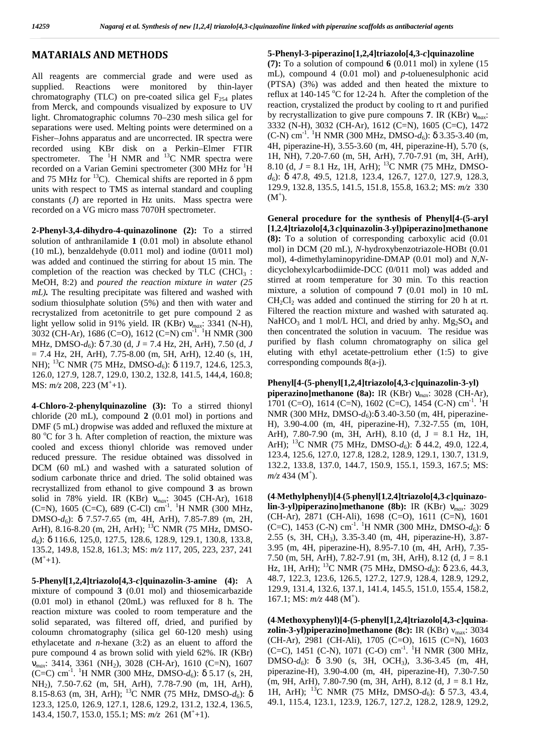#### **MATARIALS AND METHODS**

All reagents are commercial grade and were used as supplied. Reactions were monitored by thin-layer chromatography (TLC) on pre-coated silica gel  $F_{254}$  plates from Merck, and compounds visualized by exposure to UV light. Chromatographic columns 70–230 mesh silica gel for separations were used. Melting points were determined on a Fisher–Johns apparatus and are uncorrected. IR spectra were recorded using KBr disk on a Perkin–Elmer FTIR spectrometer. The  ${}^{1}$ H NMR and  ${}^{13}$ C NMR spectra were recorded on a Varian Gemini spectrometer (300 MHz for <sup>1</sup>H) and 75 MHz for  $^{13}$ C). Chemical shifts are reported in ppm units with respect to TMS as internal standard and coupling constants (*J*) are reported in Hz units. Mass spectra were recorded on a VG micro mass 7070H spectrometer.

**2-Phenyl-3,4-dihydro-4-quinazolinone (2):** To a stirred solution of anthranilamide **1** (0.01 mol) in absolute ethanol (10 mL), benzaldehyde (0.011 mol) and iodine (0/011 mol) was added and continued the stirring for about 15 min. The completion of the reaction was checked by TLC  $(CHCl<sub>3</sub>$ : MeOH, 8:2) and *poured the reaction mixture in water (25 mL).* The resulting precipitate was filtered and washed with sodium thiosulphate solution (5%) and then with water and recrystalized from acetonitrile to get pure compound 2 as light yellow solid in 91% yield. IR (KBr) *max*: 3341 (N-H), 3032 (CH-Ar), 1686 (C=O), 1612 (C=N) cm<sup>-1</sup>. <sup>1</sup>H NMR (300 then MHz, DMSO-*d*6): 7.30 (d, *J* = 7.4 Hz, 2H, ArH), 7.50 (d, *J*  $= 7.4$  Hz, 2H, ArH),  $7.75-8.00$  (m, 5H, ArH), 12.40 (s, 1H, NH); <sup>13</sup>C NMR (75 MHz, DMSO- $d_6$ ): 119.7, 124.6, 125.3, 126.0, 127.9, 128.7, 129.0, 130.2, 132.8, 141.5, 144,4, 160.8; MS:  $m/z$  208, 223 (M<sup>+</sup>+1).

**4-Chloro-2-phenylquinazoline (3):** To a stirred thionyl chloride (20 mL), compound **2** (0.01 mol) in portions and DMF (5 mL) dropwise was added and refluxed the mixture at  $80^{\circ}$ C for 3 h. After completion of reaction, the mixture was cooled and excess thionyl chloride was removed under reduced pressure. The residue obtained was dissolved in DCM (60 mL) and washed with a saturated solution of sodium carbonate thrice and dried. The solid obtained was recrystallized from ethanol to give compound **3** as brown solid in 78% yield. IR (KBr) *max*: 3045 (CH-Ar), 1618 (C=N), 1605 (C=C), 689 (C-Cl) cm<sup>-1</sup>. <sup>1</sup>H NMR (300 MHz, DMSO-*d*6): 7.57-7.65 (m, 4H, ArH), 7.85-7.89 (m, 2H, ArH), 8.16-8.20 (m, 2H, ArH); <sup>13</sup>C NMR (75 MHz, DMSO*d*6): 116.6, 125,0, 127.5, 128.6, 128.9, 129.1, 130.8, 133.8, 135.2, 149.8, 152.8, 161.3; MS: *m/z* 117, 205, 223, 237, 241  $(M^+ + 1)$ .

**5-Phenyl[1,2,4]triazolo[4,3-***c***]quinazolin-3-amine (4):** A mixture of compound **3** (0.01 mol) and thiosemicarbazide (0.01 mol) in ethanol (20mL) was refluxed for 8 h. The reaction mixture was cooled to room temperature and the solid separated, was filtered off, dried, and purified by coloumn chromatography (silica gel 60-120 mesh) using ethylacetate and *n*-hexane (3:2) as an eluent to afford the pure compound 4 as brown solid with yield 62%. IR (KBr)  $(C=C)$ , 145<br>  $\cdot$  3414 3361 (NH, ) 3028 (CH, Ar) 1610 (C-N) 1607 DMSO-d<sub>6</sub>): *max*: 3414, 3361 (NH2), 3028 (CH-Ar), 1610 (C=N), 1607 (C=C) cm<sup>-1</sup>. <sup>1</sup>H NMR (300 MHz, DMSO- $d_6$ ): 5.17 (s, 2H, NH2), 7.50-7.62 (m, 5H, ArH), 7.78-7.90 (m, 1H, ArH), 8.15-8.63 (m, 3H, ArH); <sup>13</sup>C NMR (75 MHz, DMSO-*d<sub>6</sub>*): 123.3, 125.0, 126.9, 127.1, 128.6, 129.2, 131.2, 132.4, 136.5, 143.4, 150.7, 153.0, 155.1; MS: *m/z* 261 (M<sup>+</sup>+1).

#### **5-Phenyl-3-piperazino[1,2,4]triazolo[4,3-***c***]quinazoline**

**(7):** To a solution of compound **6** (0.011 mol) in xylene (15 mL), compound 4 (0.01 mol) and *p*-toluenesulphonic acid (PTSA) (3%) was added and then heated the mixture to reflux at  $140-145$  °C for  $12-24$  h. After the completion of the reaction, crystalized the product by cooling to rt and purified by recrystallization to give pure compouns **7**.IR (KBr) *max*: 3332 (N-H), 3032 (CH-Ar), 1612 (C=N), 1605 (C=C), 1472  $(C-N)$  cm<sup>-1</sup>. <sup>1</sup>H NMR (300 MHz, DMSO- $d_6$ ): 3.35-3.40 (m, 4H, piperazine-H), 3.55-3.60 (m, 4H, piperazine-H), 5.70 (s, 1H, NH), 7.20-7.60 (m, 5H, ArH), 7.70-7.91 (m, 3H, ArH), 8.10 (d, *J* = 8.1 Hz, 1H, ArH); <sup>13</sup>C NMR (75 MHz, DMSO*d*6): 47.8, 49.5, 121.8, 123.4, 126.7, 127.0, 127.9, 128.3, 129.9, 132.8, 135.5, 141.5, 151.8, 155.8, 163.2; MS: *m/z* 330  $(M^{\dagger})$ .

**General procedure for the synthesis of Phenyl[4-(5-aryl [1,2,4]triazolo[4,3-***c***]quinazolin-3-yl)piperazino]methanone (8):** To a solution of corresponding carboxylic acid (0.01 mol) in DCM (20 mL), *N*-hydroxybenzotriazole-HOBt (0.01 mol), 4-dimethylaminopyridine-DMAP (0.01 mol) and *N*,*N* dicyclohexylcarbodiimide-DCC (0/011 mol) was added and stirred at room temperature for 30 min. To this reaction mixture, a solution of compound **7** (0.01 mol) in 10 mL  $CH<sub>2</sub>Cl<sub>2</sub>$  was added and continued the stirring for 20 h at rt. Filtered the reaction mixture and washed with saturated aq. NaHCO<sub>3</sub> and 1 mol/L HCl, and dried by anhy.  $Mg_2SO_4$  and then concentrated the solution in vacuum. The residue was purified by flash column chromatography on silica gel eluting with ethyl acetate-pettrolium ether (1:5) to give corresponding compounds 8(a-j).

#### **Phenyl[4-(5-phenyl[1,2,4]triazolo[4,3-***c***]quinazolin-3-yl)**

**piperazino]methanone (8a):** IR (KBr) *max*: 3028 (CH-Ar), 1701 (C=O), 1614 (C=N), 1602 (C=C), 1454 (C-N) cm<sup>-1</sup>. <sup>1</sup>H NMR (300 MHz, DMSO-d<sub>6</sub>): 3.40-3.50 (m, 4H, piperazine-H), 3.90-4.00 (m, 4H, piperazine-H), 7.32-7.55 (m, 10H, ArH), 7.80-7.90 (m, 3H, ArH), 8.10 (d, J = 8.1 Hz, 1H, ArH); <sup>13</sup>C NMR (75 MHz, DMSO-d<sub>6</sub>): 44.2, 49.0, 122.4, 123.4, 125.6, 127.0, 127.8, 128.2, 128.9, 129.1, 130.7, 131.9, 132.2, 133.8, 137.0, 144.7, 150.9, 155.1, 159.3, 167.5; MS: *m/z* 434 (M<sup>+</sup>).

**(4-Methylphenyl)[4-(5-phenyl[1,2,4]triazolo[4,3-***c***]quinazolin-3-yl)piperazino]methanone (8b):** IR (KBr) *max*: 3029 (CH-Ar), 2871 (CH-Ali), 1698 (C=O), 1611 (C=N), 1601 (C=C), 1453 (C-N) cm<sup>-1</sup>. <sup>1</sup>H NMR (300 MHz, DMSO- $d_6$ ): 2.55 (s, 3H, CH3), 3.35-3.40 (m, 4H, piperazine-H), 3.87- 3.95 (m, 4H, piperazine-H), 8.95-7.10 (m, 4H, ArH), 7.35- 7.50 (m, 5H, ArH), 7.82-7.91 (m, 3H, ArH), 8.12 (d,  $J = 8.1$ ) Hz, 1H, ArH); <sup>13</sup>C NMR (75 MHz, DMSO- $d_6$ ): 23.6, 44.3, 48.7, 122.3, 123.6, 126.5, 127.2, 127.9, 128.4, 128.9, 129.2, 129.9, 131.4, 132.6, 137.1, 141.4, 145.5, 151.0, 155.4, 158.2, 167.1; MS:  $m/z$  448 (M<sup>+</sup>).

**(4-Methoxyphenyl)[4-(5-phenyl[1,2,4]triazolo[4,3-***c***]quina zolin-3-yl)piperazino]methanone (8c):** IR (KBr) max: 3034 (CH-Ar), 2981 (CH-Ali), 1705 (C=O), 1615 (C=N), 1603 (C=C), 1451 (C-N), 1071 (C-O) cm<sup>-1</sup>. <sup>1</sup>H NMR (300 MHz, 3.90 (s, 3H, OCH<sub>3</sub>), 3.36-3.45 (m, 4H, piperazine-H), 3.90-4.00 (m, 4H, piperazine-H), 7.30-7.50  $(m, 9H, ArH), 7.80-7.90$   $(m, 3H, ArH), 8.12$   $(d, J = 8.1 Hz,$ 1H, ArH); <sup>13</sup>C NMR (75 MHz, DMSO- $d_6$ ): 57.3, 43.4, 49.1, 115.4, 123.1, 123.9, 126.7, 127.2, 128.2, 128.9, 129.2,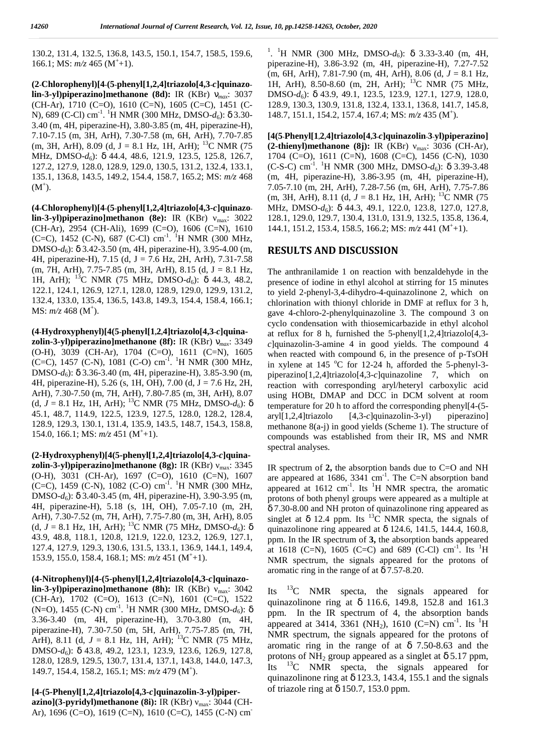130.2, 131.4, 132.5, 136.8, 143.5, 150.1, 154.7, 158.5, 159.6, 166.1; MS:  $m/z$  465 (M<sup>+</sup>+1).

**(2-Chlorophenyl)[4-(5-phenyl[1,2,4]triazolo[4,3-***c***]quinazo lin-3-yl)piperazino]methanone (8d):** IR (KBr) *max*: 3037 (CH-Ar), 1710 (C=O), 1610 (C=N), 1605 (C=C), 1451 (C- N), 689 (C-Cl) cm<sup>-1</sup>. <sup>1</sup>H NMR (300 MHz, DMSO- $d_6$ ): 3.30- 14 3.40 (m, 4H, piperazine-H), 3.80-3.85 (m, 4H, piperazine-H), 7.10-7.15 (m, 3H, ArH), 7.30-7.58 (m, 6H, ArH), 7.70-7.85  $(m, 3H, ArH)$ , 8.09 (d, J = 8.1 Hz, 1H, ArH); <sup>13</sup>C NMR (75 MHz, DMSO- $d_6$ ): 44.4, 48.6, 121.9, 123.5, 125.8, 126.7, 127.2, 127.9, 128.0, 128.9, 129.0, 130.5, 131.2, 132.4, 133.1, 135.1, 136.8, 143.5, 149.2, 154.4, 158.7, 165.2; MS: *m/z* 468  $(M^{\dagger})$ .

**(4-Chlorophenyl)[4-(5-phenyl[1,2,4]triazolo[4,3-***c***]quinazo lin-3-yl)piperazino]methanon (8e):** IR (KBr) <sub>max</sub>: 3022 (CH-Ar), 2954 (CH-Ali), 1699 (C=O), 1606 (C=N), 1610 (C=C), 1452 (C-N), 687 (C-Cl) cm<sup>-1</sup>. <sup>1</sup>H NMR (300 MHz, DMSO- $d_6$ ): 3.42-3.50 (m, 4H, piperazine-H), 3.95-4.00 (m, 4H, piperazine-H), 7.15 (d, J = 7.6 Hz, 2H, ArH), 7.31-7.58 (m, 7H, ArH), 7.75-7.85 (m, 3H, ArH), 8.15 (d, J = 8.1 Hz, 1H, ArH); <sup>13</sup>C NMR (75 MHz, DMSO- $d_6$ ): 44.3, 48.2, 122.1, 124.1, 126.9, 127.1, 128.0, 128.9, 129.0, 129.9, 131.2, 132.4, 133.0, 135.4, 136.5, 143.8, 149.3, 154.4, 158.4, 166.1; MS: *m/z* 468 (M<sup>+</sup>).

**(4-Hydroxyphenyl)[4(5-phenyl[1,2,4]triazolo[4,3-***c***]quina zolin-3-yl)piperazino]methanone (8f):** IR (KBr) *max*: 3349 (O-H), 3039 (CH-Ar), 1704 (C=O), 1611 (C=N), 1605 (C=C), 1457 (C-N), 1081 (C-O) cm<sup>-1</sup>. <sup>1</sup>H NMR (300 MHz, DMSO-*d*6): 3.36-3.40 (m, 4H, piperazine-H), 3.85-3.90 (m, 4H, piperazine-H), 5.26 (s, 1H, OH), 7.00 (d, J = 7.6 Hz, 2H, ArH), 7.30-7.50 (m, 7H, ArH), 7.80-7.85 (m, 3H, ArH), 8.07 (d,  $J = 8.1$  Hz, 1H, ArH); <sup>13</sup>C NMR (75 MHz, DMSO- $d_6$ ): 45.1, 48.7, 114.9, 122.5, 123.9, 127.5, 128.0, 128.2, 128.4, 128.9, 129.3, 130.1, 131.4, 135.9, 143.5, 148.7, 154.3, 158.8, 154.0, 166.1; MS:  $m/z$  451 (M<sup>+</sup>+1).

**(2-Hydroxyphenyl)[4(5-phenyl[1,2,4]triazolo[4,3-***c***]quina zolin-3-yl)piperazino]methanone (8g):** IR (KBr) max: 3345 (O-H), 3031 (CH-Ar), 1697 (C=O), 1610 (C=N), 1607 (C=C), 1459 (C-N), 1082 (C-O) cm<sup>-1</sup>. <sup>1</sup>H NMR (300 MHz, DMSO-*d*6): 3.40-3.45 (m, 4H, piperazine-H), 3.90-3.95 (m, 4H, piperazine-H), 5.18 (s, 1H, OH), 7.05-7.10 (m, 2H, ArH), 7.30-7.52 (m, 7H, ArH), 7.75-7.80 (m, 3H, ArH), 8.05 (d,  $J = 8.1$  Hz, 1H, ArH); <sup>13</sup>C NMR (75 MHz, DMSO- $d_6$ ): 43.9, 48.8, 118.1, 120.8, 121.9, 122.0, 123.2, 126.9, 127.1, 127.4, 127.9, 129.3, 130.6, 131.5, 133.1, 136.9, 144.1, 149.4, 153.9, 155.0, 158.4, 168.1; MS: *m/z* 451 (M<sup>+</sup>+1).

**(4-Nitrophenyl)[4-(5-phenyl[1,2,4]triazolo[4,3-***c***]quinazolin-3-yl)piperazino]methanone (8h):** IR (KBr) max: 3042 Its (CH-Ar), 1702 (C=O), 1613 (C=N), 1601 (C=C), 1522 <sub>quin</sub> (N=O), 1455 (C-N) cm<sup>-1</sup>. <sup>1</sup>H NMR (300 MHz, DMSO- $d_6$ ): 3.36-3.40 (m, 4H, piperazine-H), 3.70-3.80 (m, 4H, piperazine-H), 7.30-7.50 (m, 5H, ArH), 7.75-7.85 (m, 7H, ArH), 8.11 (d,  $J = 8.1$  Hz, 1H, ArH); <sup>13</sup>C NMR (75 MHz, DMSO-*d*6): 43.8, 49.2, 123.1, 123.9, 123.6, 126.9, 127.8, 128.0, 128.9, 129.5, 130.7, 131.4, 137.1, 143.8, 144.0, 147.3,  $\frac{114}{150}$ 149.7, 154.4, 158.2, 165.1; MS: *m/z* 479 (M<sup>+</sup> ).

**[4-(5-Phenyl[1,2,4]triazolo[4,3-***c***]quinazolin-3-yl)piper azino](3-pyridyl)methanone** (8i): IR (KBr) <sub>max</sub>: 3044 (CH-Ar), 1696 (C=O), 1619 (C=N), 1610 (C=C), 1455 (C-N) cm-

<sup>1</sup>. <sup>1</sup>H NMR (300 MHz, DMSO- $d_6$ ): 3.33-3.40 (m, 4H, piperazine-H), 3.86-3.92 (m, 4H, piperazine-H), 7.27-7.52 (m, 6H, ArH), 7.81-7.90 (m, 4H, ArH), 8.06 (d, *J* = 8.1 Hz, 1H, ArH), 8.50-8.60 (m, 2H, ArH); <sup>13</sup>C NMR (75 MHz, DMSO- $d_6$ ): 43.9, 49.1, 123.5, 123.9, 127.1, 127.9, 128.0, 128.9, 130.3, 130.9, 131.8, 132.4, 133.1, 136.8, 141.7, 145.8, 148.7, 151.1, 154.2, 157.4, 167.4; MS: *m/z* 435 (M<sup>+</sup> ).

**[4(5-Phenyl[1,2,4]triazolo[4,3-***c***]quinazolin-3-yl)piperazino] (2-thienyl)methanone (8j):** IR (KBr) max: 3036 (CH-Ar), 1704 (C=O), 1611 (C=N), 1608 (C=C), 1456 (C-N), 1030 (C-S-C) cm<sup>-1</sup>. <sup>1</sup>H NMR (300 MHz, DMSO- $d_6$ ): 3.39-3.48 (m, 4H, piperazine-H), 3.86-3.95 (m, 4H, piperazine-H), 7.05-7.10 (m, 2H, ArH), 7.28-7.56 (m, 6H, ArH), 7.75-7.86 (m, 3H, ArH), 8.11 (d,  $J = 8.1$  Hz, 1H, ArH); <sup>13</sup>C NMR (75) MHz, DMSO- $d_6$ : 44.3, 49.1, 122.0, 123.8, 127.0, 127.8, 128.1, 129.0, 129.7, 130.4, 131.0, 131.9, 132.5, 135.8, 136.4, 144.1, 151.2, 153.4, 158.5, 166.2; MS: *m/z* 441 (M<sup>+</sup>+1).

### **RESULTS AND DISCUSSION**

The anthranilamide 1 on reaction with benzaldehyde in the presence of iodine in ethyl alcohol at stirring for 15 minutes to yield 2-phenyl-3,4-dihydro-4-quinazolinone 2, which on chlorination with thionyl chloride in DMF at reflux for 3 h, gave 4-chloro-2-phenylquinazoline 3. The compound 3 on cyclo condensation with thiosemicarbazide in ethyl alcohol at reflux for 8 h, furnished the 5-phenyl[1,2,4]triazolo[4,3 *c*]quinazolin-3-amine 4 in good yields. The compound 4 when reacted with compound 6, in the presence of p-TsOH in xylene at 145  $^{\circ}$ C for 12-24 h, afforded the 5-phenyl-3piperazino[1,2,4]triazolo[4,3-*c*]quinazoline 7, which on reaction with corresponding aryl/heteryl carboxylic acid using HOBt, DMAP and DCC in DCM solvent at room temperature for 20 h to afford the corresponding phenyl[4-(5- [4,3-*c*]quinazolin-3-yl) piperazino] methanone 8(a-j) in good yields (Scheme 1). The structure of compounds was established from their IR, MS and NMR spectral analyses.

IR spectrum of **2,** the absorption bands due to C=O and NH are appeared at  $1686$ ,  $3341$  cm<sup>-1</sup>. The C=N absorption band appeared at  $1612 \text{ cm}^{-1}$ . Its <sup>1</sup>H NMR spectra, the aromatic protons of both phenyl groups were appeared as a multiple at 7.30-8.00 and NH proton of quinazolinone ring appeared as 12.4 ppm. Its  $^{13}$ C NMR specta, the signals of quinazolinone ring appeared at 124.6, 141.5, 144.4, 160.8, ppm. In the IR spectrum of **3,** the absorption bands appeared at 1618 (C=N), 1605 (C=C) and 689 (C-Cl) cm<sup>-1</sup>. Its <sup>1</sup>H NMR spectrum, the signals appeared for the protons of aromatic ring in the range of at 7.57-8.20.

 ${}^{13}$ C NMR specta, the signals appeared for quinazolinone ring at 116.6, 149.8, 152.8 and 161.3 ppm. In the IR spectrum of 4, the absorption bands appeared at 3414, 3361 (NH<sub>2</sub>), 1610 (C=N) cm<sup>-1</sup>. Its <sup>1</sup>H NMR spectrum, the signals appeared for the protons of aromatic ring in the range of at 7.50-8.63 and the protons of  $NH_2$  group appeared as a singlet at  $5.17$  ppm,  ${}^{13}$ C NMR specta, the signals appeared for quinazolinone ring at 123.3, 143.4, 155.1 and the signals of triazole ring at 150.7, 153.0 ppm.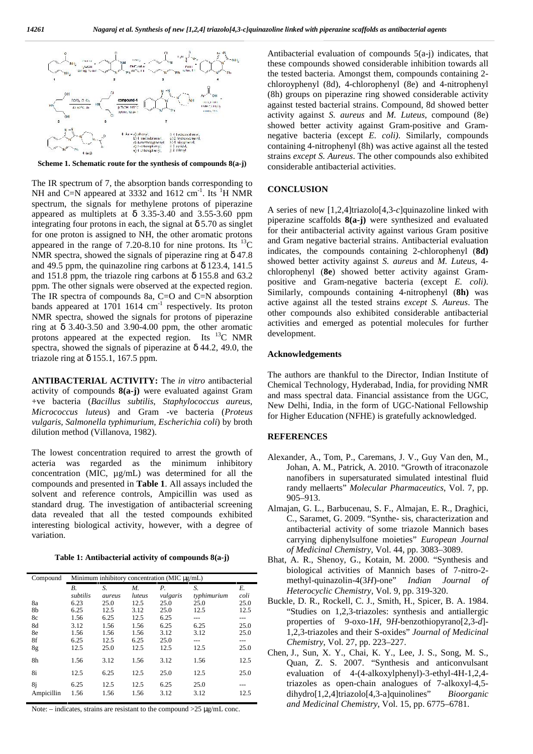

**Scheme 1. Schematic route for the synthesis of compounds 8(a-j)**

The IR spectrum of 7, the absorption bands corresponding to NH and C=N appeared at 3332 and 1612 cm<sup>-1</sup>. Its <sup>1</sup>H NMR **CONC** spectrum, the signals for methylene protons of piperazine appeared as multiplets at 3.35-3.40 and 3.55-3.60 ppm integrating four protons in each, the signal at 5.70 as singlet for one proton is assigned to NH, the other aromatic protons appeared in the range of 7.20-8.10 for nine protons. Its  $^{13}$ C NMR spectra, showed the signals of piperazine ring at 47.8 and 49.5 ppm, the quinazoline ring carbons at 123.4, 141.5 and 151.8 ppm, the triazole ring carbons at 155.8 and 63.2 ppm. The other signals were observed at the expected region. The IR spectra of compounds 8a, C=O and C=N absorption bands appeared at  $1701 \cdot 1614 \cdot cm^{-1}$  respectively. Its proton NMR spectra, showed the signals for protons of piperazine ring at 3.40-3.50 and 3.90-4.00 ppm, the other aromatic protons appeared at the expected region. Its <sup>13</sup>C NMR spectra, showed the signals of piperazine at 44.2, 49.0, the triazole ring at 155.1, 167.5 ppm.

**ANTIBACTERIAL ACTIVITY:** The *in vitro* antibacterial activity of compounds **8(a-j)** were evaluated against Gram +ve bacteria (*Bacillus subtilis*, *Staphylococcus aureus, Micrococcus luteus*) and Gram -ve bacteria (*Proteus vulgaris, Salmonella typhimurium, Escherichia coli*) by broth dilution method (Villanova, 1982).

The lowest concentration required to arrest the growth of acteria was regarded as the minimum inhibitory concentration (MIC, µg/mL) was determined for all the compounds and presented in **Table 1**. All assays included the solvent and reference controls, Ampicillin was used as standard drug. The investigation of antibacterial screening data revealed that all the tested compounds exhibited interesting biological activity, however, with a degree of variation.

**Table 1: Antibacterial activity of compounds 8(a-j)**

| Compound   | Minimum inhibitory concentration (MIC $\mu$ g/mL) |        |        |             |             |      |    |
|------------|---------------------------------------------------|--------|--------|-------------|-------------|------|----|
|            | В.                                                | S.     | М.     | $P_{\cdot}$ | S.          | Е.   |    |
|            | subtilis                                          | aureus | luteus | vulgaris    | typhimurium | coli |    |
| 8a         | 6.23                                              | 25.0   | 12.5   | 25.0        | 25.0        | 25.0 | Вι |
| 8b         | 6.25                                              | 12.5   | 3.12   | 25.0        | 12.5        | 12.5 |    |
| 8c         | 1.56                                              | 6.25   | 12.5   | 6.25        | ---         | ---  |    |
| 8d         | 3.12                                              | 1.56   | 1.56   | 6.25        | 6.25        | 25.0 |    |
| 8e         | 1.56                                              | 1.56   | 1.56   | 3.12        | 3.12        | 25.0 |    |
| 8f         | 6.25                                              | 12.5   | 6.25   | 25.0        |             |      |    |
| 8g         | 12.5                                              | 25.0   | 12.5   | 12.5        | 12.5        | 25.0 |    |
| 8h         | 1.56                                              | 3.12   | 1.56   | 3.12        | 1.56        | 12.5 |    |
| 8i         | 12.5                                              | 6.25   | 12.5   | 25.0        | 12.5        | 25.0 |    |
| 8j         | 6.25                                              | 12.5   | 12.5   | 6.25        | 25.0        |      |    |
| Ampicillin | 1.56                                              | 1.56   | 1.56   | 3.12        | 3.12        | 12.5 |    |

Note:  $-\text{indicates, strains are resistant to the compound} > 25 \sim g/mL \text{ conc.}$ 

Antibacterial evaluation of compounds 5(a-j) indicates, that these compounds showed considerable inhibition towards all the tested bacteria. Amongst them, compounds containing 2 chloroyphenyl (8d), 4-chlorophenyl (8e) and 4-nitrophenyl (8h) groups on piperazine ring showed considerable activity against tested bacterial strains. Compound, 8d showed better activity against *S. aureus* and *M. Luteus*, compound (8e) showed better activity against Gram-positive and Gram negative bacteria (except *E. coli)*. Similarly, compounds containing 4-nitrophenyl (8h) was active against all the tested strains *except S. Aureus*. The other compounds also exhibited considerable antibacterial activities.

#### **CONCLUSION**

A series of new [1,2,4]triazolo[4,3-*c*]quinazoline linked with piperazine scaffolds **8(a-j)** were synthesized and evaluated for their antibacterial activity against various Gram positive and Gram negative bacterial strains. Antibacterial evaluation indicates, the compounds containing 2-chlorophenyl (**8d)** showed better activity against *S. aureus* and *M. Luteus*, 4 chlorophenyl (**8e**) showed better activity against Gram positive and Gram-negative bacteria (except *E. coli)*. Similarly, compounds containing 4-nitrophenyl (**8h)** was active against all the tested strains *except S. Aureus*. The other compounds also exhibited considerable antibacterial activities and emerged as potential molecules for further development.

#### **Acknowledgements**

The authors are thankful to the Director, Indian Institute of Chemical Technology, Hyderabad, India, for providing NMR and mass spectral data. Financial assistance from the UGC, New Delhi, India, in the form of UGC-National Fellowship for Higher Education (NFHE) is gratefully acknowledged.

#### **REFERENCES**

- Alexander, A., Tom, P., Caremans, J. V., Guy Van den, M., Johan, A. M., Patrick, A. 2010. "Growth of itraconazole nanofibers in supersaturated simulated intestinal fluid randy mellaerts" *Molecular Pharmaceutics*, Vol. 7, pp. 905–913.
- Almajan, G. L., Barbucenau, S. F., Almajan, E. R., Draghici, C., Saramet, G. 2009. "Synthe- sis, characterization and antibacterial activity of some triazole Mannich bases carrying diphenylsulfone moieties" *European Journal of Medicinal Chemistry*, Vol. 44, pp. 3083–3089.
- Bhat, A. R., Shenoy, G., Kotain, M. 2000. "Synthesis and biological activities of Mannich bases of 7-nitro-2 methyl-quinazolin-4(3*H*)-one" *Indian Journal of Heterocyclic Chemistry*, Vol. 9, pp. 319-320.
- Buckle, D. R., Rockell, C. J., Smith, H., Spicer, B. A. 1984. "Studies on 1,2,3-triazoles: synthesis and antiallergic properties of 9-oxo-1*H*, 9*H*-benzothiopyrano[2,3-*d*]- 1,2,3-triazoles and their S-oxides" *Journal of Medicinal Chemistry*, Vol. 27, pp. 223–227.
- Chen, J., Sun, X. Y., Chai, K. Y., Lee, J. S., Song, M. S., Quan, Z. S. 2007. "Synthesis and anticonvulsant evaluation of 4-(4-alkoxylphenyl)-3-ethyl-4H-1,2,4 triazoles as open-chain analogues of 7-alkoxyl-4,5 dihydro[1,2,4]triazolo[4,3-a]quinolines" *Bioorganic and Medicinal Chemistry*, Vol. 15, pp. 6775–6781.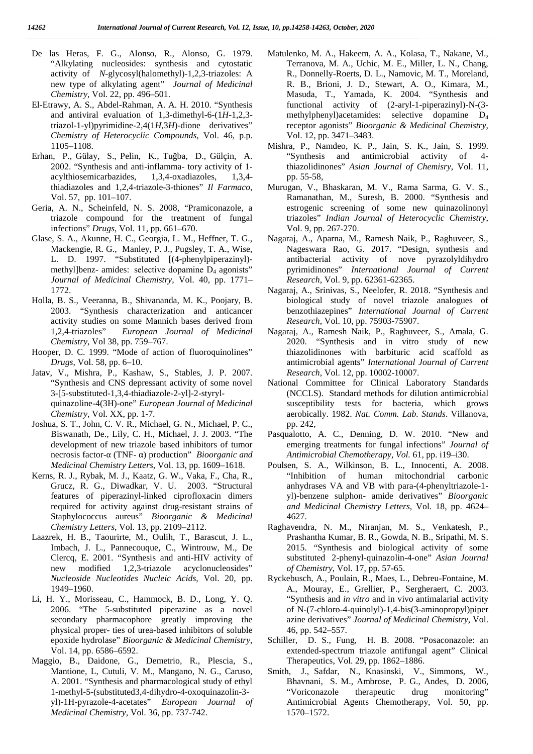- De las Heras, F. G., Alonso, R., Alonso, G. 1979. "Alkylating nucleosides: synthesis and cytostatic activity of *N*-glycosyl(halomethyl)-1,2,3-triazoles: A new type of alkylating agent" *Journal of Medicinal Chemistry*, Vol. 22, pp. 496–501.
- El-Etrawy, A. S., Abdel-Rahman, A. A. H. 2010. "Synthesis and antiviral evaluation of 1,3-dimethyl-6-(1*H*-1,2,3 triazol-1-yl)pyrimidine-2,4(1*H*,3*H*)-dione derivatives" *Chemistry of Heterocyclic Compounds*, Vol. 46, p.p. 1105–1108.
- Erhan, P., Gülay, S., Pelin, K., Tuğba, D., Gülçin, A. 2002. "Synthesis and anti-inflamma- tory activity of 1 acylthiosemicarbazides, 1,3,4-oxadiazoles, 1,3,4 thiadiazoles and 1,2,4-triazole-3-thiones" *Il Farmaco*, Vol. 57, pp. 101–107.
- Geria, A. N., Scheinfeld, N. S. 2008, "Pramiconazole, a triazole compound for the treatment of fungal infections" *Drugs*, Vol. 11, pp. 661–670.
- Glase, S. A., Akunne, H. C., Georgia, L. M., Heffner, T. G., Mackengie, R. G., Manley, P. J., Pugsley, T. A., Wise, L. D. 1997. "Substituted [(4-phenylpiperazinyl) methyl]benz- amides: selective dopamine  $D_4$  agonists" *Journal of Medicinal Chemistry*, Vol. 40, pp. 1771– 1772.
- Holla, B. S., Veeranna, B., Shivananda, M. K., Poojary, B. 2003. "Synthesis characterization and anticancer activity studies on some Mannich bases derived from 1,2,4-triazoles" *European Journal of Medicinal Chemistry*, Vol 38, pp. 759–767.
- Hooper, D. C. 1999. "Mode of action of fluoroquinolines" *Drugs*, Vol. 58, pp. 6–10.
- Jatav, V., Mishra, P., Kashaw, S., Stables, J. P. 2007. "Synthesis and CNS depressant activity of some novel 3-[5-substituted-1,3,4-thiadiazole-2-yl]-2-styryl quinazoline-4(3H)-one" *European Journal of Medicinal Chemistry*, Vol. XX, pp. 1-7.
- Joshua, S. T., John, C. V. R., Michael, G. N., Michael, P. C., Biswanath, De., Lily, C. H., Michael, J. J. 2003. "The development of new triazole based inhibitors of tumor necrosis factor- (TNF- ) production" *Bioorganic and Medicinal Chemistry Letters*, Vol. 13, pp. 1609–1618.
- Kerns, R. J., Rybak, M. J., Kaatz, G. W., Vaka, F., Cha, R., Grucz, R. G., Diwadkar, V. U. 2003. "Structural features of piperazinyl-linked ciprofloxacin dimers required for activity against drug-resistant strains of Staphylococcus aureus" *Bioorganic & Medicinal Chemistry Letters*, Vol. 13, pp. 2109–2112.
- Laazrek, H. B., Taourirte, M., Oulih, T., Barascut, J. L., Imbach, J. L., Pannecouque, C., Wintrouw, M., De Clercq, E. 2001. "Synthesis and anti-HIV activity of new modified 1,2,3-triazole acyclonucleosides" *Nucleoside Nucleotides Nucleic Acids*, Vol. 20, pp. 1949–1960.
- Li, H. Y., Morisseau, C., Hammock, B. D., Long, Y. Q. 2006. "The 5-substituted piperazine as a novel secondary pharmacophore greatly improving the physical proper- ties of urea-based inhibitors of soluble epoxide hydrolase" *Bioorganic & Medicinal Chemistry*, Vol. 14, pp. 6586–6592.
- Maggio, B., Daidone, G., Demetrio, R., Plescia, S., Mantione, L, Cutuli, V. M., Mangano, N. G., Caruso, A. 2001. "Synthesis and pharmacological study of ethyl 1-methyl-5-(substituted3,4-dihydro-4-oxoquinazolin-3 yl)-1H-pyrazole-4-acetates" *European Journal of Medicinal Chemistry*, Vol. 36, pp. 737-742.
- Matulenko, M. A., Hakeem, A. A., Kolasa, T., Nakane, M., Terranova, M. A., Uchic, M. E., Miller, L. N., Chang, R., Donnelly-Roerts, D. L., Namovic, M. T., Moreland, R. B., Brioni, J. D., Stewart, A. O., Kimara, M., Masuda, T., Yamada, K. 2004. "Synthesis and functional activity of (2-aryl-1-piperazinyl)-N-(3 methylphenyl)acetamides: selective dopamine D<sup>4</sup> receptor agonists" *Bioorganic & Medicinal Chemistry*, Vol. 12, pp. 3471–3483.
- Mishra, P., Namdeo, K. P., Jain, S. K., Jain, S. 1999. "Synthesis and antimicrobial activity of 4 thiazolidinones" *Asian Journal of Chemisry*, Vol. 11, pp. 55-58,
- Murugan, V., Bhaskaran, M. V., Rama Sarma, G. V. S., Ramanathan, M., Suresh, B. 2000. "Synthesis and estrogenic screening of some new quinazolinonyl triazoles" *Indian Journal of Heterocyclic Chemistry*, Vol. 9, pp. 267-270.
- Nagaraj, A., Aparna, M., Ramesh Naik, P., Raghuveer, S., Nageswara Rao, G. 2017. "Design, synthesis and antibacterial activity of nove pyrazolyldihydro pyrimidinones" *International Journal of Current Research*, Vol. 9, pp. 62361-62365.
- Nagaraj, A., Srinivas, S., Neelofer, R. 2018. "Synthesis and biological study of novel triazole analogues of benzothiazepines" *International Journal of Current Research*, Vol. 10, pp. 75903-75907.
- Nagaraj, A., Ramesh Naik, P., Raghuveer, S., Amala, G. 2020. "Synthesis and in vitro study of new thiazolidinones with barbituric acid scaffold as antimicrobial agents" *International Journal of Current Research*, Vol. 12, pp. 10002-10007.
- National Committee for Clinical Laboratory Standards (NCCLS). Standard methods for dilution antimicrobial susceptibility tests for bacteria, which grows aerobically. 1982. *Nat. Comm. Lab. Stands*. Villanova, pp. 242,
- Pasqualotto, A. C., Denning, D. W. 2010. "New and emerging treatments for fungal infections" *Journal of Antimicrobial Chemotherapy, Vol.* 61, pp. i19–i30.
- Poulsen, S. A., Wilkinson, B. L., Innocenti, A. 2008. "Inhibition of human mitochondrial carbonic anhydrases VA and VB with para-(4-phenyltriazole-1 yl)-benzene sulphon- amide derivatives" *Bioorganic and Medicinal Chemistry Letters*, Vol. 18, pp. 4624– 4627.
- Raghavendra, N. M., Niranjan, M. S., Venkatesh, P., Prashantha Kumar, B. R., Gowda, N. B., Sripathi, M. S. 2015. "Synthesis and biological activity of some substituted 2-phenyl-quinazolin-4-one" *Asian Journal of Chemistry*, Vol. 17, pp. 57-65.
- Ryckebusch, A., Poulain, R., Maes, L., Debreu-Fontaine, M. A., Mouray, E., Grellier, P., Sergheraert, C. 2003. "Synthesis and *in vitro* and in vivo antimalarial activity of N-(7-chloro-4-quinolyl)-1,4-bis(3-aminopropyl)piper azine derivatives" *Journal of Medicinal Chemistry*, Vol. 46, pp. 542–557.
- Schiller, D. S., Fung, H. B. 2008. "Posaconazole: an extended-spectrum triazole antifungal agent" Clinical Therapeutics, Vol. 29, pp. 1862–1886.
- Smith, J., Safdar, N., Knasinski, V., Simmons, W., Bhavnani, S. M., Ambrose, P. G., Andes, D. 2006, "Voriconazole therapeutic drug monitoring" Antimicrobial Agents Chemotherapy, Vol. 50, pp. 1570–1572.